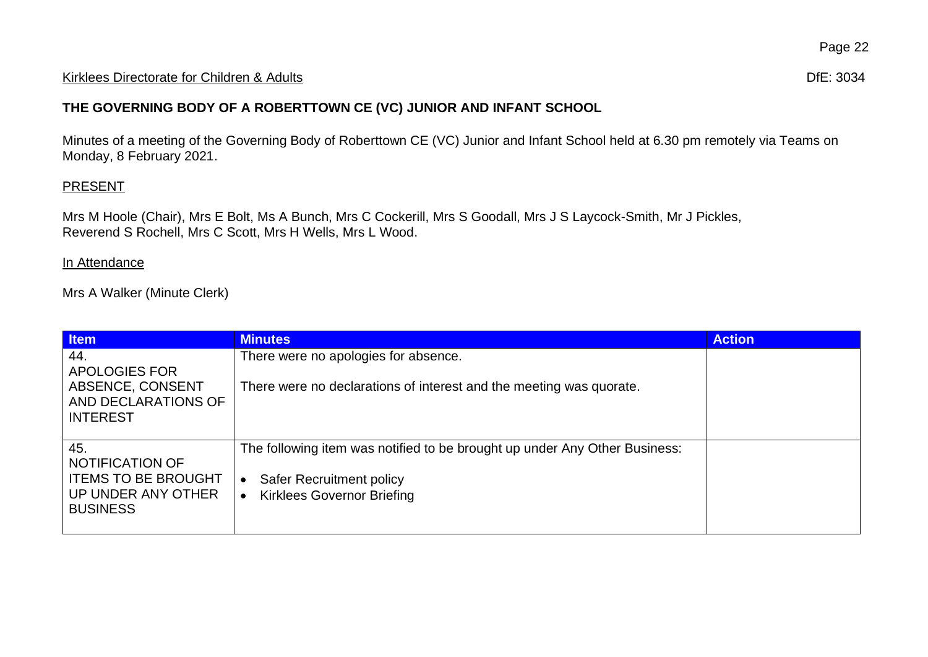#### Kirklees Directorate for Children & Adults **Difester Controller and Controller Controller Controller Controller Controller Controller Controller Controller Controller Controller Controller Controller Controller Controller**

## **THE GOVERNING BODY OF A ROBERTTOWN CE (VC) JUNIOR AND INFANT SCHOOL**

Minutes of a meeting of the Governing Body of Roberttown CE (VC) Junior and Infant School held at 6.30 pm remotely via Teams on Monday, 8 February 2021.

### **PRESENT**

Mrs M Hoole (Chair), Mrs E Bolt, Ms A Bunch, Mrs C Cockerill, Mrs S Goodall, Mrs J S Laycock-Smith, Mr J Pickles, Reverend S Rochell, Mrs C Scott, Mrs H Wells, Mrs L Wood.

#### In Attendance

Mrs A Walker (Minute Clerk)

| <b>Item</b>                                                                                          | <b>Minutes</b>                                                                                                                                                  | <b>Action</b> |
|------------------------------------------------------------------------------------------------------|-----------------------------------------------------------------------------------------------------------------------------------------------------------------|---------------|
| 44.<br>APOLOGIES FOR<br>ABSENCE, CONSENT<br>AND DECLARATIONS OF<br><b>INTEREST</b>                   | There were no apologies for absence.<br>There were no declarations of interest and the meeting was quorate.                                                     |               |
| 45.<br><b>NOTIFICATION OF</b><br><b>ITEMS TO BE BROUGHT</b><br>UP UNDER ANY OTHER<br><b>BUSINESS</b> | The following item was notified to be brought up under Any Other Business:<br><b>Safer Recruitment policy</b><br>$\bullet$<br><b>Kirklees Governor Briefing</b> |               |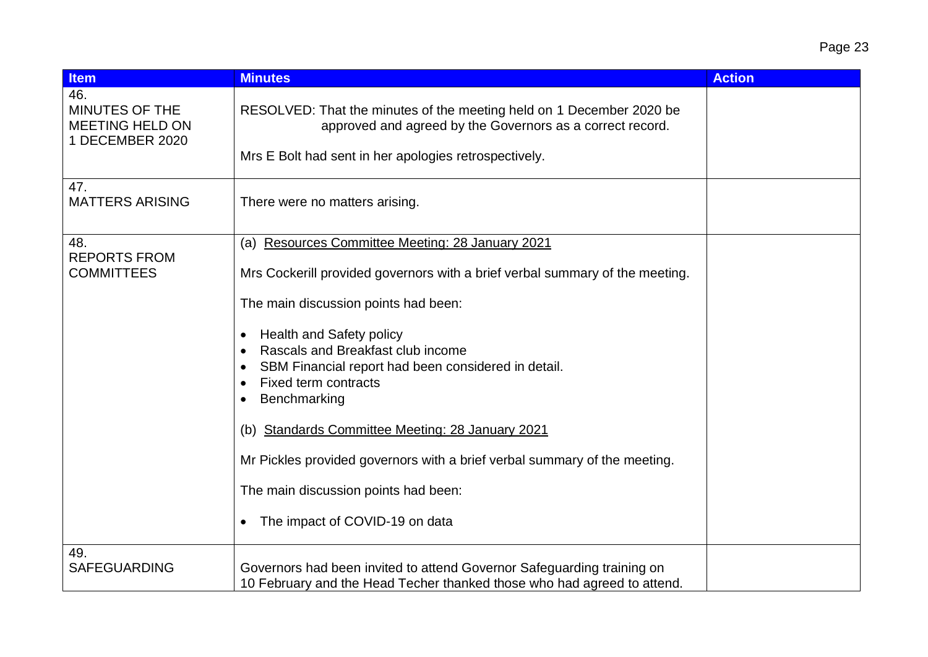| <b>Item</b>                                                        | <b>Minutes</b>                                                                                                                                                                                                                                                                                                                                                                                                                                                                                                                                                                  | <b>Action</b> |
|--------------------------------------------------------------------|---------------------------------------------------------------------------------------------------------------------------------------------------------------------------------------------------------------------------------------------------------------------------------------------------------------------------------------------------------------------------------------------------------------------------------------------------------------------------------------------------------------------------------------------------------------------------------|---------------|
| 46.<br>MINUTES OF THE<br><b>MEETING HELD ON</b><br>1 DECEMBER 2020 | RESOLVED: That the minutes of the meeting held on 1 December 2020 be<br>approved and agreed by the Governors as a correct record.<br>Mrs E Bolt had sent in her apologies retrospectively.                                                                                                                                                                                                                                                                                                                                                                                      |               |
| 47.<br><b>MATTERS ARISING</b>                                      | There were no matters arising.                                                                                                                                                                                                                                                                                                                                                                                                                                                                                                                                                  |               |
| 48.<br><b>REPORTS FROM</b><br><b>COMMITTEES</b>                    | (a) Resources Committee Meeting: 28 January 2021<br>Mrs Cockerill provided governors with a brief verbal summary of the meeting.<br>The main discussion points had been:<br>Health and Safety policy<br>٠<br>Rascals and Breakfast club income<br>$\bullet$<br>SBM Financial report had been considered in detail.<br>Fixed term contracts<br>Benchmarking<br><b>Standards Committee Meeting: 28 January 2021</b><br>(b)<br>Mr Pickles provided governors with a brief verbal summary of the meeting.<br>The main discussion points had been:<br>The impact of COVID-19 on data |               |
| 49.<br><b>SAFEGUARDING</b>                                         | Governors had been invited to attend Governor Safeguarding training on<br>10 February and the Head Techer thanked those who had agreed to attend.                                                                                                                                                                                                                                                                                                                                                                                                                               |               |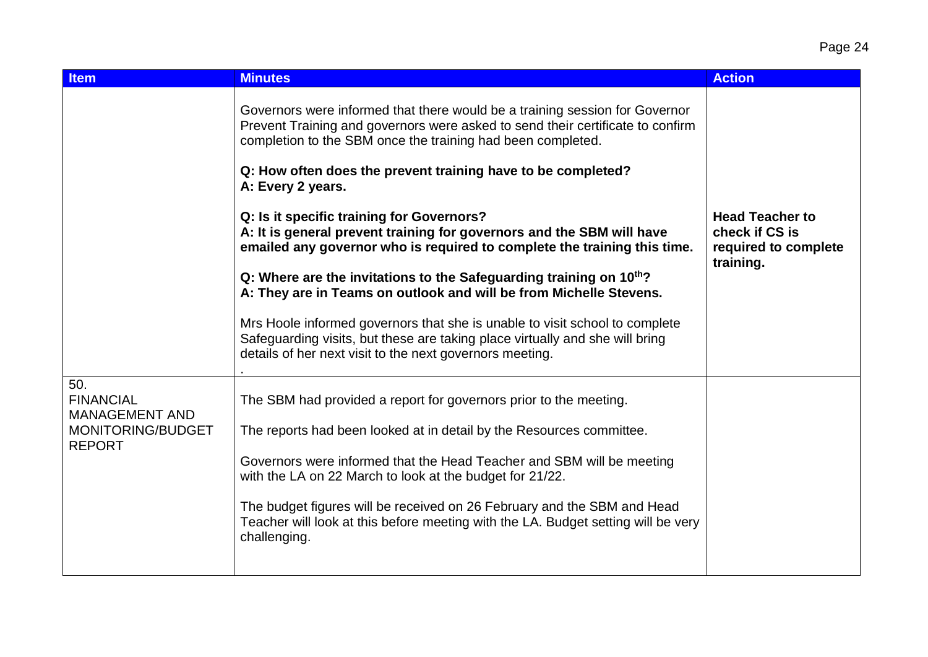| <b>Item</b>                                                                            | <b>Minutes</b>                                                                                                                                                                                                                                                                                                                                                                                                                                                                                                                                                                                                                                                                                                                                                                                                                                                                                   | <b>Action</b>                                                                 |
|----------------------------------------------------------------------------------------|--------------------------------------------------------------------------------------------------------------------------------------------------------------------------------------------------------------------------------------------------------------------------------------------------------------------------------------------------------------------------------------------------------------------------------------------------------------------------------------------------------------------------------------------------------------------------------------------------------------------------------------------------------------------------------------------------------------------------------------------------------------------------------------------------------------------------------------------------------------------------------------------------|-------------------------------------------------------------------------------|
|                                                                                        | Governors were informed that there would be a training session for Governor<br>Prevent Training and governors were asked to send their certificate to confirm<br>completion to the SBM once the training had been completed.<br>Q: How often does the prevent training have to be completed?<br>A: Every 2 years.<br>Q: Is it specific training for Governors?<br>A: It is general prevent training for governors and the SBM will have<br>emailed any governor who is required to complete the training this time.<br>Q: Where are the invitations to the Safeguarding training on $10^{th}$ ?<br>A: They are in Teams on outlook and will be from Michelle Stevens.<br>Mrs Hoole informed governors that she is unable to visit school to complete<br>Safeguarding visits, but these are taking place virtually and she will bring<br>details of her next visit to the next governors meeting. | <b>Head Teacher to</b><br>check if CS is<br>required to complete<br>training. |
| 50.<br><b>FINANCIAL</b><br><b>MANAGEMENT AND</b><br>MONITORING/BUDGET<br><b>REPORT</b> | The SBM had provided a report for governors prior to the meeting.<br>The reports had been looked at in detail by the Resources committee.<br>Governors were informed that the Head Teacher and SBM will be meeting<br>with the LA on 22 March to look at the budget for 21/22.<br>The budget figures will be received on 26 February and the SBM and Head<br>Teacher will look at this before meeting with the LA. Budget setting will be very<br>challenging.                                                                                                                                                                                                                                                                                                                                                                                                                                   |                                                                               |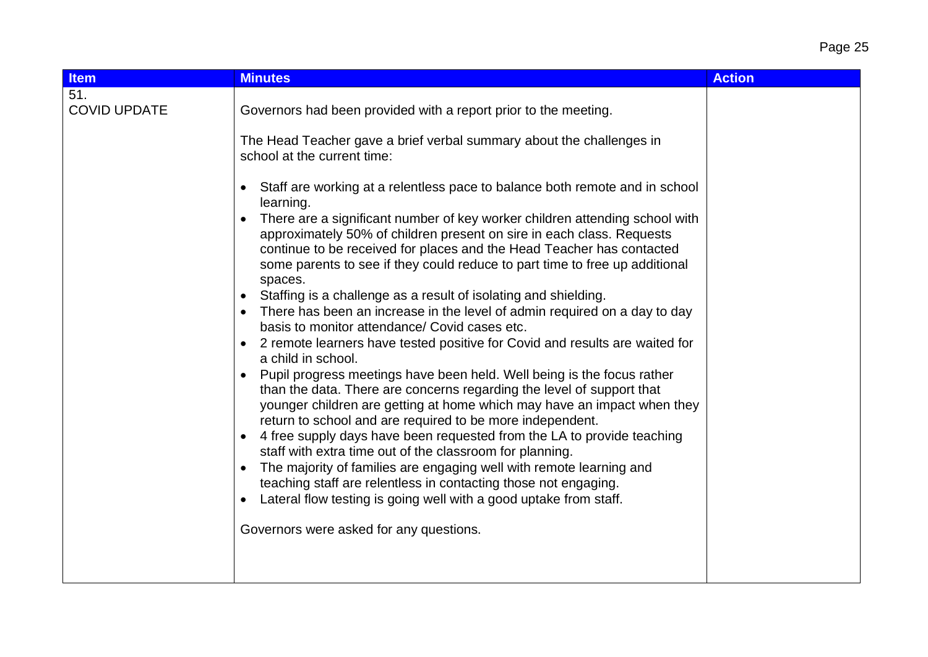# Page 25

| <b>Item</b>                | <b>Minutes</b>                                                                                                                                                                                                                                                                                                                                                                                                                                                                                                                                                                                                                                                                                                                                                                                                                                                                                                                                                                                                                                                                                                                                                                                                                                                                                                                                                                                                                                                                                                                                                                                              | <b>Action</b> |
|----------------------------|-------------------------------------------------------------------------------------------------------------------------------------------------------------------------------------------------------------------------------------------------------------------------------------------------------------------------------------------------------------------------------------------------------------------------------------------------------------------------------------------------------------------------------------------------------------------------------------------------------------------------------------------------------------------------------------------------------------------------------------------------------------------------------------------------------------------------------------------------------------------------------------------------------------------------------------------------------------------------------------------------------------------------------------------------------------------------------------------------------------------------------------------------------------------------------------------------------------------------------------------------------------------------------------------------------------------------------------------------------------------------------------------------------------------------------------------------------------------------------------------------------------------------------------------------------------------------------------------------------------|---------------|
| 51.<br><b>COVID UPDATE</b> | Governors had been provided with a report prior to the meeting.<br>The Head Teacher gave a brief verbal summary about the challenges in<br>school at the current time:<br>Staff are working at a relentless pace to balance both remote and in school<br>learning.<br>There are a significant number of key worker children attending school with<br>approximately 50% of children present on sire in each class. Requests<br>continue to be received for places and the Head Teacher has contacted<br>some parents to see if they could reduce to part time to free up additional<br>spaces.<br>Staffing is a challenge as a result of isolating and shielding.<br>There has been an increase in the level of admin required on a day to day<br>basis to monitor attendance/ Covid cases etc.<br>2 remote learners have tested positive for Covid and results are waited for<br>a child in school.<br>Pupil progress meetings have been held. Well being is the focus rather<br>than the data. There are concerns regarding the level of support that<br>younger children are getting at home which may have an impact when they<br>return to school and are required to be more independent.<br>4 free supply days have been requested from the LA to provide teaching<br>$\bullet$<br>staff with extra time out of the classroom for planning.<br>The majority of families are engaging well with remote learning and<br>teaching staff are relentless in contacting those not engaging.<br>Lateral flow testing is going well with a good uptake from staff.<br>Governors were asked for any questions. |               |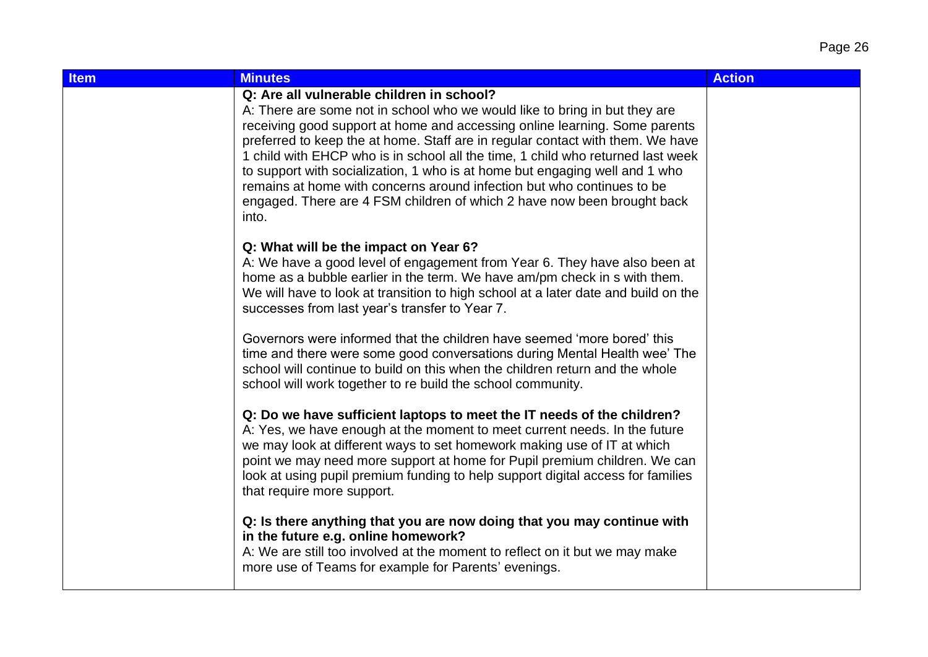| <b>Item</b> | <b>Minutes</b>                                                                                                                                                                                                                                                                                                                                                                                                                                                                                                                                                                                                          | <b>Action</b> |
|-------------|-------------------------------------------------------------------------------------------------------------------------------------------------------------------------------------------------------------------------------------------------------------------------------------------------------------------------------------------------------------------------------------------------------------------------------------------------------------------------------------------------------------------------------------------------------------------------------------------------------------------------|---------------|
|             | Q: Are all vulnerable children in school?<br>A: There are some not in school who we would like to bring in but they are<br>receiving good support at home and accessing online learning. Some parents<br>preferred to keep the at home. Staff are in regular contact with them. We have<br>1 child with EHCP who is in school all the time, 1 child who returned last week<br>to support with socialization, 1 who is at home but engaging well and 1 who<br>remains at home with concerns around infection but who continues to be<br>engaged. There are 4 FSM children of which 2 have now been brought back<br>into. |               |
|             | Q: What will be the impact on Year 6?<br>A: We have a good level of engagement from Year 6. They have also been at<br>home as a bubble earlier in the term. We have am/pm check in s with them.<br>We will have to look at transition to high school at a later date and build on the<br>successes from last year's transfer to Year 7.                                                                                                                                                                                                                                                                                 |               |
|             | Governors were informed that the children have seemed 'more bored' this<br>time and there were some good conversations during Mental Health wee' The<br>school will continue to build on this when the children return and the whole<br>school will work together to re build the school community.                                                                                                                                                                                                                                                                                                                     |               |
|             | Q: Do we have sufficient laptops to meet the IT needs of the children?<br>A: Yes, we have enough at the moment to meet current needs. In the future<br>we may look at different ways to set homework making use of IT at which<br>point we may need more support at home for Pupil premium children. We can<br>look at using pupil premium funding to help support digital access for families<br>that require more support.                                                                                                                                                                                            |               |
|             | Q: Is there anything that you are now doing that you may continue with<br>in the future e.g. online homework?<br>A: We are still too involved at the moment to reflect on it but we may make<br>more use of Teams for example for Parents' evenings.                                                                                                                                                                                                                                                                                                                                                                    |               |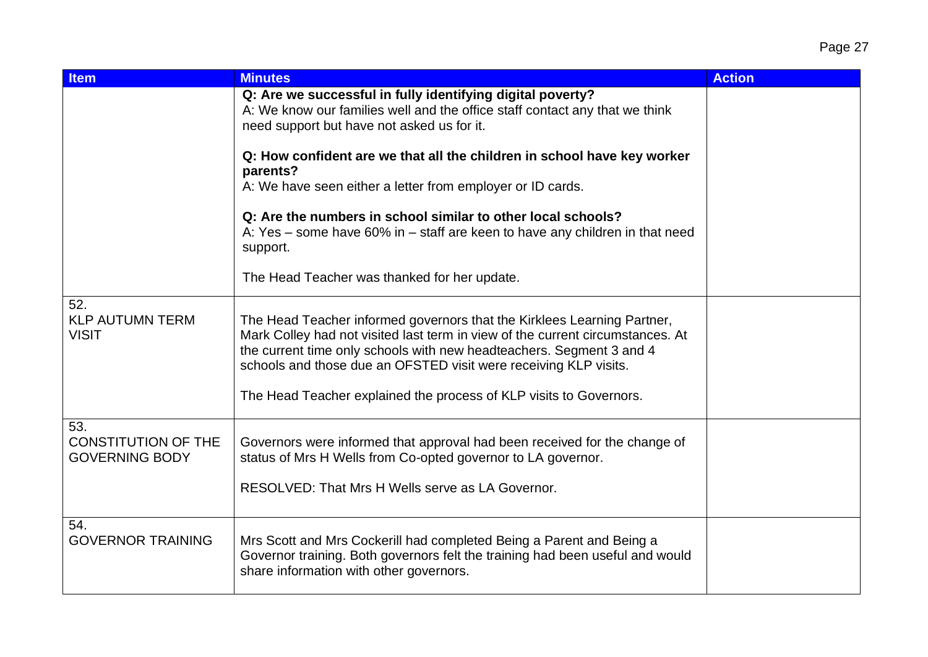| <b>Item</b>                                                | <b>Minutes</b>                                                                                                                                                                                                                                                                                                                                                              | <b>Action</b> |
|------------------------------------------------------------|-----------------------------------------------------------------------------------------------------------------------------------------------------------------------------------------------------------------------------------------------------------------------------------------------------------------------------------------------------------------------------|---------------|
|                                                            | Q: Are we successful in fully identifying digital poverty?<br>A: We know our families well and the office staff contact any that we think<br>need support but have not asked us for it.                                                                                                                                                                                     |               |
|                                                            | Q: How confident are we that all the children in school have key worker<br>parents?<br>A: We have seen either a letter from employer or ID cards.                                                                                                                                                                                                                           |               |
|                                                            | Q: Are the numbers in school similar to other local schools?<br>A: Yes – some have 60% in – staff are keen to have any children in that need<br>support.                                                                                                                                                                                                                    |               |
|                                                            | The Head Teacher was thanked for her update.                                                                                                                                                                                                                                                                                                                                |               |
| 52.<br><b>KLP AUTUMN TERM</b><br><b>VISIT</b>              | The Head Teacher informed governors that the Kirklees Learning Partner,<br>Mark Colley had not visited last term in view of the current circumstances. At<br>the current time only schools with new headteachers. Segment 3 and 4<br>schools and those due an OFSTED visit were receiving KLP visits.<br>The Head Teacher explained the process of KLP visits to Governors. |               |
| 53.<br><b>CONSTITUTION OF THE</b><br><b>GOVERNING BODY</b> | Governors were informed that approval had been received for the change of<br>status of Mrs H Wells from Co-opted governor to LA governor.<br>RESOLVED: That Mrs H Wells serve as LA Governor.                                                                                                                                                                               |               |
| 54.<br><b>GOVERNOR TRAINING</b>                            | Mrs Scott and Mrs Cockerill had completed Being a Parent and Being a<br>Governor training. Both governors felt the training had been useful and would<br>share information with other governors.                                                                                                                                                                            |               |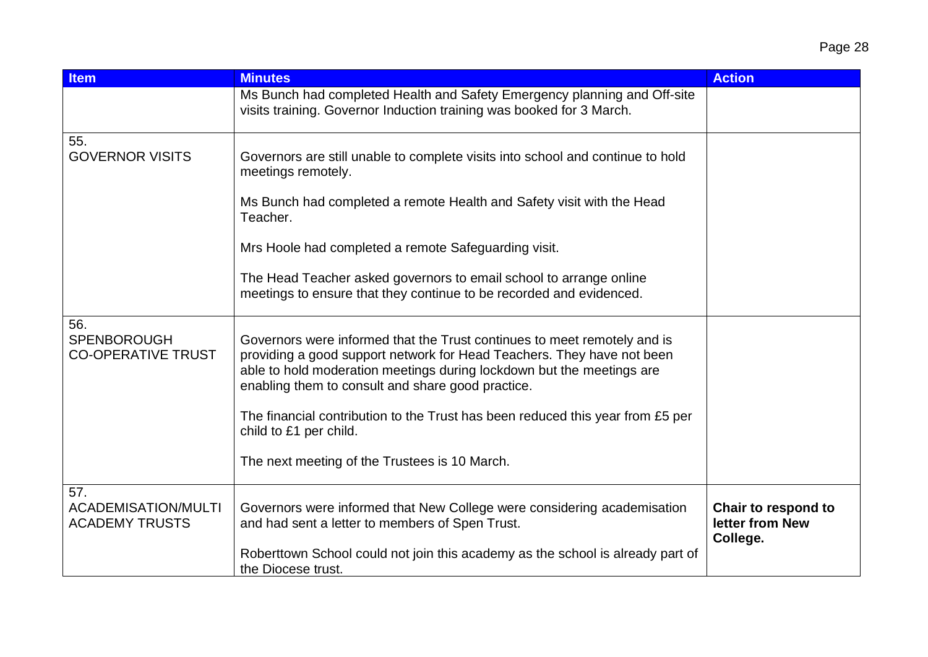| <b>Item</b>                                                | <b>Minutes</b>                                                                                                                                                                                                                                                                                                                                                                                                                                | <b>Action</b>                                      |
|------------------------------------------------------------|-----------------------------------------------------------------------------------------------------------------------------------------------------------------------------------------------------------------------------------------------------------------------------------------------------------------------------------------------------------------------------------------------------------------------------------------------|----------------------------------------------------|
|                                                            | Ms Bunch had completed Health and Safety Emergency planning and Off-site<br>visits training. Governor Induction training was booked for 3 March.                                                                                                                                                                                                                                                                                              |                                                    |
| 55.<br><b>GOVERNOR VISITS</b>                              | Governors are still unable to complete visits into school and continue to hold<br>meetings remotely.<br>Ms Bunch had completed a remote Health and Safety visit with the Head<br>Teacher.<br>Mrs Hoole had completed a remote Safeguarding visit.<br>The Head Teacher asked governors to email school to arrange online<br>meetings to ensure that they continue to be recorded and evidenced.                                                |                                                    |
| 56.<br><b>SPENBOROUGH</b><br><b>CO-OPERATIVE TRUST</b>     | Governors were informed that the Trust continues to meet remotely and is<br>providing a good support network for Head Teachers. They have not been<br>able to hold moderation meetings during lockdown but the meetings are<br>enabling them to consult and share good practice.<br>The financial contribution to the Trust has been reduced this year from £5 per<br>child to £1 per child.<br>The next meeting of the Trustees is 10 March. |                                                    |
| 57.<br><b>ACADEMISATION/MULTI</b><br><b>ACADEMY TRUSTS</b> | Governors were informed that New College were considering academisation<br>and had sent a letter to members of Spen Trust.<br>Roberttown School could not join this academy as the school is already part of<br>the Diocese trust.                                                                                                                                                                                                            | Chair to respond to<br>letter from New<br>College. |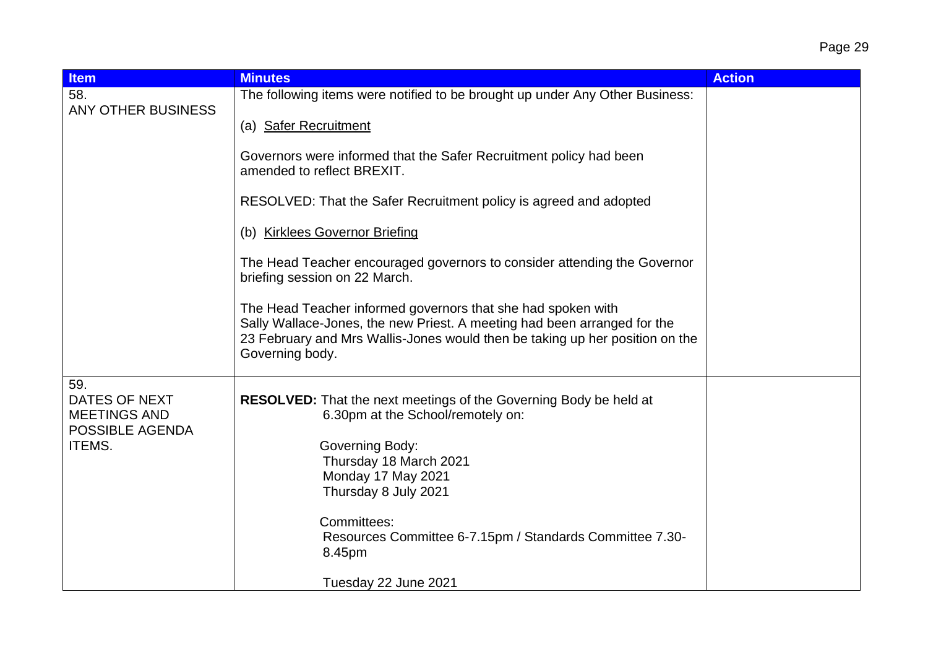| <b>Item</b>                                                                     | <b>Minutes</b>                                                                                                                                                                                                                                                                                | <b>Action</b> |
|---------------------------------------------------------------------------------|-----------------------------------------------------------------------------------------------------------------------------------------------------------------------------------------------------------------------------------------------------------------------------------------------|---------------|
| 58.                                                                             | The following items were notified to be brought up under Any Other Business:                                                                                                                                                                                                                  |               |
| <b>ANY OTHER BUSINESS</b>                                                       | (a) Safer Recruitment                                                                                                                                                                                                                                                                         |               |
|                                                                                 | Governors were informed that the Safer Recruitment policy had been<br>amended to reflect BREXIT.                                                                                                                                                                                              |               |
|                                                                                 | RESOLVED: That the Safer Recruitment policy is agreed and adopted                                                                                                                                                                                                                             |               |
|                                                                                 | (b) Kirklees Governor Briefing                                                                                                                                                                                                                                                                |               |
|                                                                                 | The Head Teacher encouraged governors to consider attending the Governor<br>briefing session on 22 March.                                                                                                                                                                                     |               |
|                                                                                 | The Head Teacher informed governors that she had spoken with<br>Sally Wallace-Jones, the new Priest. A meeting had been arranged for the<br>23 February and Mrs Wallis-Jones would then be taking up her position on the<br>Governing body.                                                   |               |
| 59.<br>DATES OF NEXT<br><b>MEETINGS AND</b><br>POSSIBLE AGENDA<br><b>ITEMS.</b> | <b>RESOLVED:</b> That the next meetings of the Governing Body be held at<br>6.30pm at the School/remotely on:<br>Governing Body:<br>Thursday 18 March 2021<br>Monday 17 May 2021<br>Thursday 8 July 2021<br>Committees:<br>Resources Committee 6-7.15pm / Standards Committee 7.30-<br>8.45pm |               |
|                                                                                 | Tuesday 22 June 2021                                                                                                                                                                                                                                                                          |               |